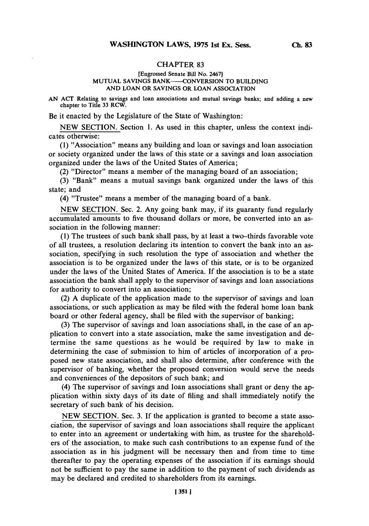## CHAPTER **83**

## **[Engrossed Senate Bill No. 24671 MUTUAL SAVINGS BANK--CONVERSION TO BUILDING AND LOAN OR SAVINGS OR LOAN ASSOCIATION**

**AN ACT Relating to savings and loan associations and mutual savings banks; and adding a new chapter to Title 33 RCW.**

Be it enacted **by** the Legislature of the State of Washington:

**NEW SECTION.** Section **1.** As used in this chapter, unless the context indicates otherwise:

**(1)** "Association" means any building and loan or savings and loan association or society organized under the laws of this state or a savings and loan association organized under the laws of the United States of America;

(2) "Director" means a member of the managing board **of** an association;

**(3)** "Bank" means a mutual savings bank organized under the laws of this state; and

(4) "Trustee" means a member of the managing board of a bank.

**NEW SECTION.** Sec. 2. Any going bank may, if its guaranty fund regularly accumulated amounts to five thousand dollars or more, be converted into an association in the following manner:

**(1)** The trustees of such bank shall pass, **by** at least a two-thirds favorable vote of all trustees, a resolution declaring its intention to convert the bank into an association, specifying in such resolution the type of association and whether the association is to be organized under the laws of this state, or is to be organized under the laws of the United States of America. **If** the association is to be a state association the bank shall apply to the supervisor of savings and loan associations for authority to convert into an association;

(2) **A** duplicate of the application made to the supervisor of savings and loan associations, or such application as may be filed with the federal home loan bank board or other federal agency, shall be filed with the supervisor of banking;

(3) The supervisor of savings and loan associations shall, in the case of an application to convert into a state association, make the same investigation and determine the same questions as he would be required **by** law to make in determining the case of submission to him of articles of incorporation of a proposed new state association, and shall also determine, after conference with the supervisor of banking, whether the proposed conversion would serve the needs and conveniences of the depositors of such bank; and

(4) The supervisor of savings and loan associations shall grant or deny the application within sixty days of its date of filing and shall immediately notify the secretary of such bank of his decision.

**NEW SECTION.** Sec. **3. If** the application is granted to become a state association, the supervisor of savings and loan associations shall require the applicant to enter into an agreement or undertaking with him, as trustee for the shareholders of the association, to make such cash contributions to an expense fund of the association as in his judgment will be necessary then and from time to time thereafter to pay the operating expenses of the association if its earnings should not be sufficient to pay the same in addition to the payment of such dividends as may be declared and credited to shareholders from its earnings.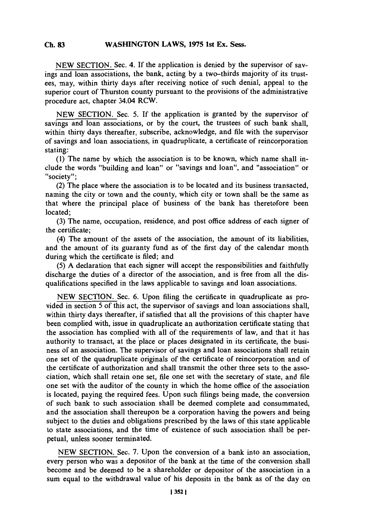## **C.** 83WASH4INGTON LAWS, **1975** 1st Ex. Sess. **Ch. 83**

**NEW SECTION.** Sec. 4. **If** the application is denied **by** the supervisor of savings and loan associations, the bank, acting **by** a two-thirds majority of its trustees, may, within thirty days after receiving notice of such denial, appeal to the superior court of Thurston county pursuant to the provisions of the administrative procedure act, chapter 34.04 RCW.

**NEW** SECTION. Sec. **5. If** the application is granted **by** the supervisor of savings and loan associations, or **by** the court, the trustees of such bank shall, within thirty days thereafter, subscribe, acknowledge, and file with the supervisor of savings and loan associations, in quadruplicate, a certificate of reincorporation stating:

**(1)** The name **by** which the association is to be known, which name shall include the words "building and loan" or "savings and loan", and "association" or "society":

(2) The place where the association is to be located and its business transacted, naming the city or town and the county, which city or town shall be the same as that where the principal place of business of the bank has theretofore been located;

**(3)** The name, occupation, residence, and post office address of each signer of the certificate;

(4) The amount of the assets of the association, the amount of its liabilities, and the amount of its guaranty fund as of the first day of the calendar month during which the certificate is filed; and

**(5) A** declaration that each signer will accept the responsibilities and faithfully discharge the duties of a director of the association, and is free from all the disqualifications specified in the laws applicable to savings and loan associations.

**NEW SECTION.** Sec. **6.** Upon filing the certificate in quadruplicate as provided in section **5** of this act, the supervisor of savings and loan associations shall, within thirty days thereafter, if satisfied that all the provisions of this chapter have been complied with, issue in quadruplicate an authorization certificate stating that the association has complied with all of the requirements of law, and that it has authority to transact, at the place or places designated in its certificate, the business of an association. The supervisor of savings and loan associations shall retain one set of the quadruplicate originals of the certificate of reincorporation and of the certificate of authorization and shall transmit the other three sets to the association, which shall retain one set, file one set with the secretary of state, and file one set with the auditor of the county in which the home office of the association is located, paying the required fees. Upon such filings being made, the conversion of such bank to such association shall be deemed complete and consummated, and the association shall thereupon be a corporation having the powers and being subject to the duties and obligations prescribed **by** the laws of this state applicable to state associations, and the time of existence of such association shall be perpetual, unless sooner terminated.

**NEW SECTION.** Sec. **7.** Upon the conversion of a bank into an association, every person who was a depositor of the bank at the time of the conversion shall become and be deemed to be a shareholder or depositor of the association in a sum equal to the withdrawal value of his deposits in the bank as of the day on